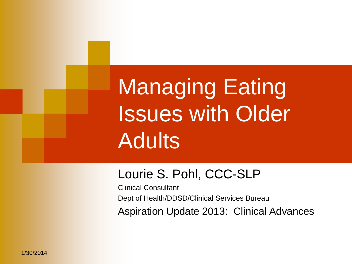Managing Eating Issues with Older **Adults** 

#### Lourie S. Pohl, CCC-SLP

Clinical Consultant Dept of Health/DDSD/Clinical Services Bureau Aspiration Update 2013: Clinical Advances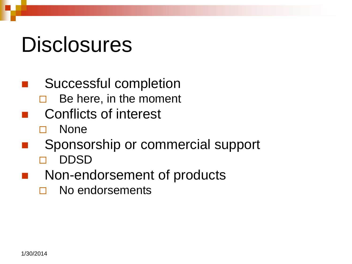## **Disclosures**

- Successful completion  $\Box$  Be here, in the moment Conflicts of interest None Sponsorship or commercial support
	- DDSD
	- Non-endorsement of products
		- No endorsements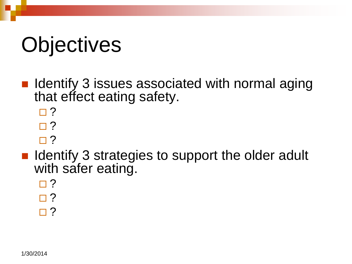# **Objectives**

- $\blacksquare$  Identify 3 issues associated with normal aging that effect eating safety.
	- $\Box$  ?
	- $\Box$  ?
	- $\Box$  ?
- **In Identify 3 strategies to support the older adult** with safer eating.
	- $\Box$ ?
	- $\Box$  ?
	- $\Box$  ?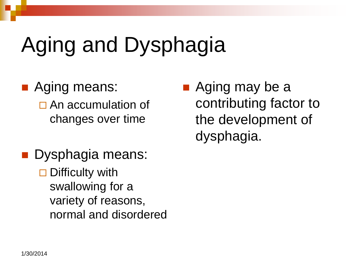# Aging and Dysphagia

- **Aging means:**  $\Box$  An accumulation of changes over time
- **Dysphagia means:**  $\square$  Difficulty with swallowing for a variety of reasons, normal and disordered
- Aging may be a contributing factor to the development of dysphagia.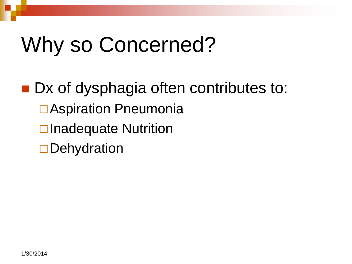# Why so Concerned?

■ Dx of dysphagia often contributes to: **□Aspiration Pneumonia**  $\square$  Inadequate Nutrition  $\square$  Dehydration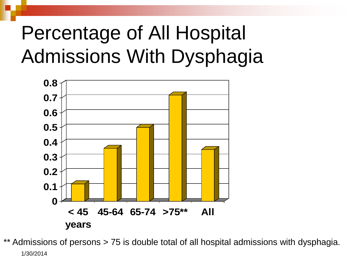## Percentage of All Hospital Admissions With Dysphagia



1/30/2014 \*\* Admissions of persons > 75 is double total of all hospital admissions with dysphagia.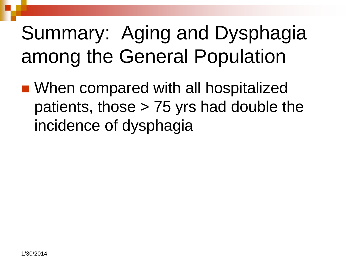## Summary: Aging and Dysphagia among the General Population

■ When compared with all hospitalized patients, those > 75 yrs had double the incidence of dysphagia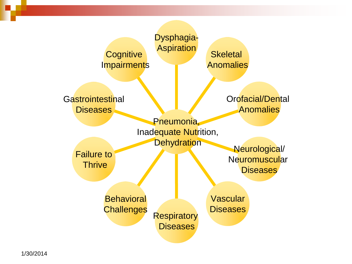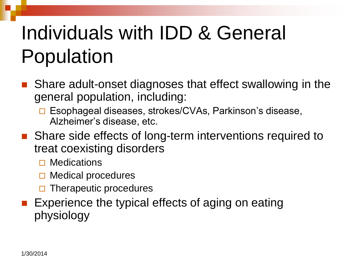# Individuals with IDD & General Population

- Share adult-onset diagnoses that effect swallowing in the general population, including:
	- □ Esophageal diseases, strokes/CVAs, Parkinson's disease, Alzheimer's disease, etc.
- Share side effects of long-term interventions required to treat coexisting disorders
	- $\square$  Medications
	- $\Box$  Medical procedures
	- $\Box$  Therapeutic procedures
- **Experience the typical effects of aging on eating** physiology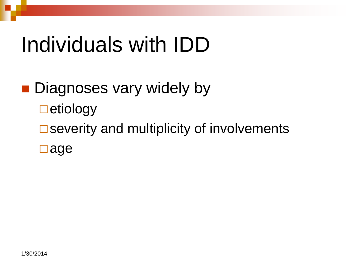# Individuals with IDD

### **Diagnoses vary widely by**  $\square$ etiology  $\square$  severity and multiplicity of involvements age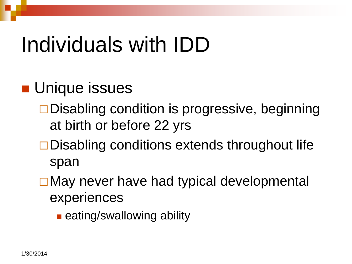# Individuals with IDD

#### **Unique issues**

- $\square$  Disabling condition is progressive, beginning at birth or before 22 yrs
- $\square$  Disabling conditions extends throughout life span
- **□ May never have had typical developmental** experiences
	- **E** eating/swallowing ability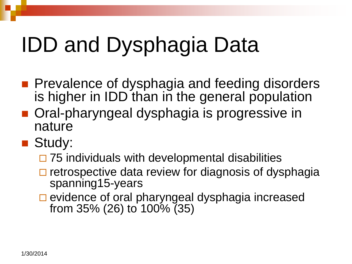# IDD and Dysphagia Data

- **Prevalence of dysphagia and feeding disorders** is higher in **IDD** than in the general population
- **n** Oral-pharyngeal dysphagia is progressive in nature
- **Study:** 
	- $\Box$  75 individuals with developmental disabilities
	- $\Box$  retrospective data review for diagnosis of dysphagia spanning15-years
	- $\square$  evidence of oral pharyngeal dysphagia increased from 35% (26) to 100% (35)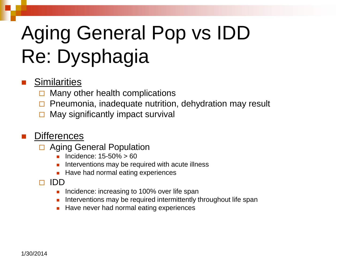# Aging General Pop vs IDD Re: Dysphagia

#### **Similarities**

- $\Box$  Many other health complications
- $\Box$  Pneumonia, inadequate nutrition, dehydration may result
- May significantly impact survival

#### **Differences**

- □ Aging General Population
	- Incidence: 15-50% > 60
	- Interventions may be required with acute illness
	- Have had normal eating experiences
- IDD
	- Incidence: increasing to 100% over life span
	- Interventions may be required intermittently throughout life span
	- Have never had normal eating experiences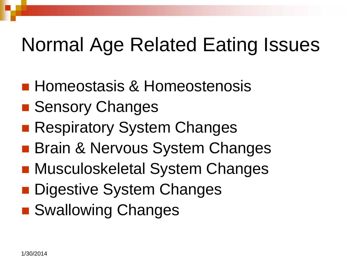- **Homeostasis & Homeostenosis**
- **E** Sensory Changes
- **Respiratory System Changes**
- **Brain & Nervous System Changes**
- Musculoskeletal System Changes
- **Digestive System Changes**
- Swallowing Changes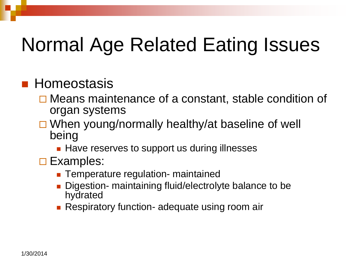#### **Homeostasis**

- **□ Means maintenance of a constant, stable condition of** organ systems
- $\Box$  When young/normally healthy/at baseline of well being
	- **Have reserves to support us during illnesses**
- **□ Examples:** 
	- **Temperature regulation- maintained**
	- Digestion- maintaining fluid/electrolyte balance to be hydrated
	- **Respiratory function- adequate using room air**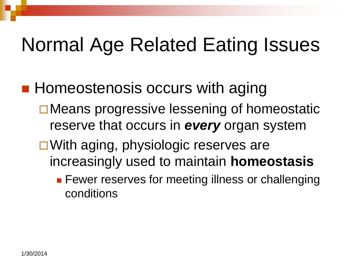- **Homeostenosis occurs with aging** 
	- **□ Means progressive lessening of homeostatic** reserve that occurs in *every* organ system
	- □ With aging, physiologic reserves are increasingly used to maintain **homeostasis**
		- **Fewer reserves for meeting illness or challenging** conditions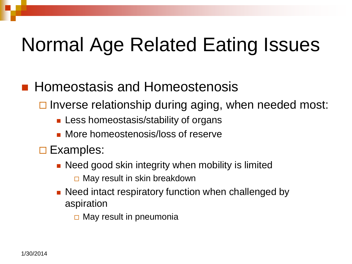#### **Homeostasis and Homeostenosis**

- $\Box$  Inverse relationship during aging, when needed most:
	- **Less homeostasis/stability of organs**
	- **Nore homeostenosis/loss of reserve**
- **□ Examples:** 
	- **Need good skin integrity when mobility is limited**  $\Box$  May result in skin breakdown
	- **Need intact respiratory function when challenged by** aspiration
		- $\Box$  May result in pneumonia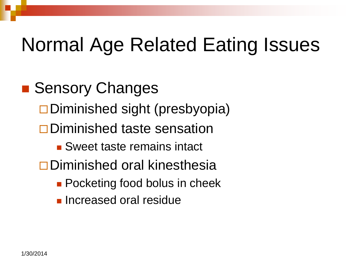■ Sensory Changes  $\square$  Diminished sight (presbyopia) Diminished taste sensation **Sweet taste remains intact** Diminished oral kinesthesia **Pocketing food bolus in cheek Increased oral residue**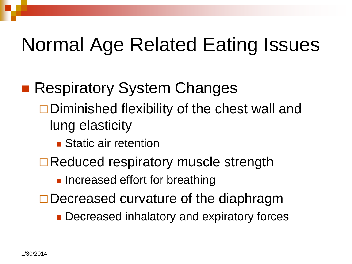- **Respiratory System Changes** 
	- $\square$  Diminished flexibility of the chest wall and lung elasticity
		- **Static air retention**
	- **□ Reduced respiratory muscle strength** 
		- **Increased effort for breathing**
	- $\Box$  Decreased curvature of the diaphragm
		- **Decreased inhalatory and expiratory forces**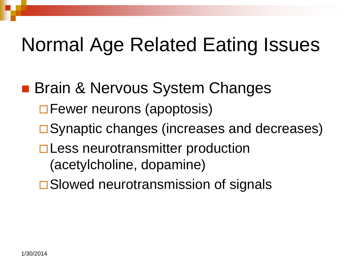- **Brain & Nervous System Changes** 
	- □ Fewer neurons (apoptosis)
	- **□ Synaptic changes (increases and decreases)**
	- □ Less neurotransmitter production (acetylcholine, dopamine)
	- **□Slowed neurotransmission of signals**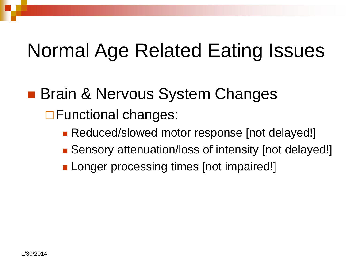#### **Brain & Nervous System Changes**

□ Functional changes:

- **Reduced/slowed motor response [not delayed!]**
- Sensory attenuation/loss of intensity [not delayed!]
- **Longer processing times [not impaired!]**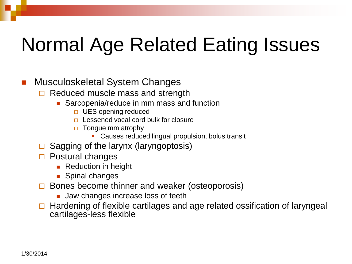#### Musculoskeletal System Changes

- $\Box$  Reduced muscle mass and strength
	- Sarcopenia/reduce in mm mass and function
		- $\Box$  UES opening reduced
		- □ Lessened vocal cord bulk for closure
		- $\Box$  Tongue mm atrophy
			- **Causes reduced lingual propulsion, bolus transit**
- $\Box$  Sagging of the larynx (laryngoptosis)
- $\Box$  Postural changes
	- **Reduction in height**
	- **Spinal changes**
- $\Box$  Bones become thinner and weaker (osteoporosis)
	- **Jaw changes increase loss of teeth**
- $\Box$  Hardening of flexible cartilages and age related ossification of laryngeal cartilages-less flexible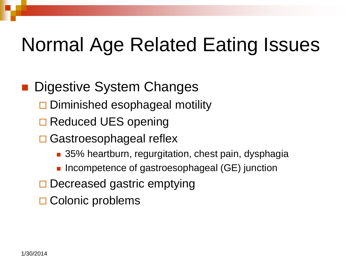#### Digestive System Changes

- Diminished esophageal motility
- □ Reduced UES opening
- **□ Gastroesophageal reflex** 
	- 35% heartburn, regurgitation, chest pain, dysphagia
	- **Incompetence of gastroesophageal (GE) junction**
- $\Box$  Decreased gastric emptying
- $\Box$  Colonic problems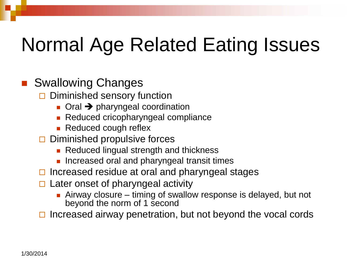#### Swallowing Changes

- $\Box$  Diminished sensory function
	- $\Box$  Oral  $\rightarrow$  pharyngeal coordination
	- Reduced cricopharyngeal compliance
	- **Reduced cough reflex**
- $\Box$  Diminished propulsive forces
	- Reduced lingual strength and thickness
	- **Increased oral and pharyngeal transit times**
- $\Box$  Increased residue at oral and pharyngeal stages
- $\Box$  Later onset of pharyngeal activity
	- **Airway closure timing of swallow response is delayed, but not** beyond the norm of 1 second

Increased airway penetration, but not beyond the vocal cords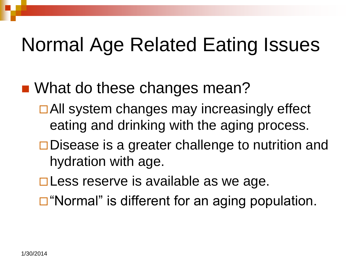- What do these changes mean?
	- **□ All system changes may increasingly effect** eating and drinking with the aging process.
	- $\square$  Disease is a greater challenge to nutrition and hydration with age.
	- $\square$  Less reserve is available as we age.
	- $\Box$  "Normal" is different for an aging population.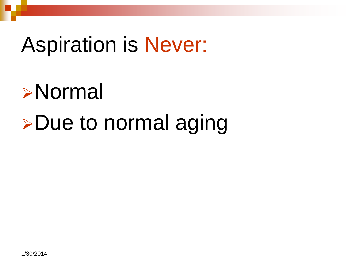## Aspiration is Never:

# Normal **>Due to normal aging**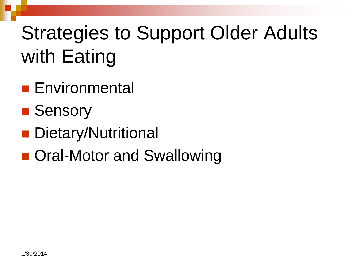- **Environmental**
- Sensory
- **Dietary/Nutritional**
- Oral-Motor and Swallowing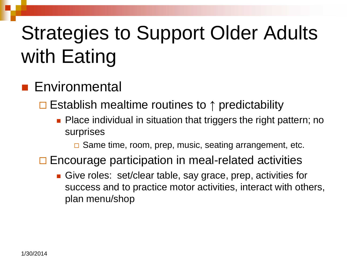#### **Environmental**

Establish mealtime routines to **↑** predictability

- **Place individual in situation that triggers the right pattern; no** surprises
	- □ Same time, room, prep, music, seating arrangement, etc.
- $\Box$  Encourage participation in meal-related activities
	- Give roles: set/clear table, say grace, prep, activities for success and to practice motor activities, interact with others, plan menu/shop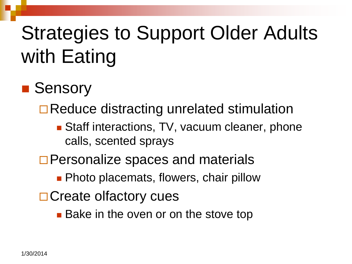#### ■ Sensory

**□ Reduce distracting unrelated stimulation** 

- Staff interactions, TV, vacuum cleaner, phone calls, scented sprays
- □ Personalize spaces and materials
	- **Photo placemats, flowers, chair pillow**
- □ Create olfactory cues
	- **Bake in the oven or on the stove top**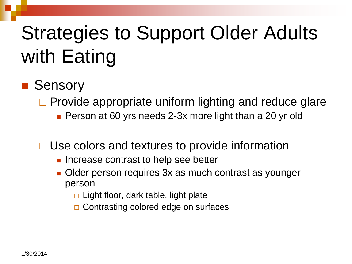#### ■ Sensory

- $\Box$  Provide appropriate uniform lighting and reduce glare
	- **Person at 60 yrs needs 2-3x more light than a 20 yr old**
- $\Box$  Use colors and textures to provide information
	- **Increase contrast to help see better**
	- Older person requires 3x as much contrast as younger person
		- $\Box$  Light floor, dark table, light plate
		- □ Contrasting colored edge on surfaces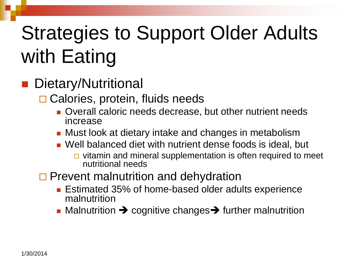#### Dietary/Nutritional

□ Calories, protein, fluids needs

- **Overall caloric needs decrease, but other nutrient needs** increase
- Must look at dietary intake and changes in metabolism
- Well balanced diet with nutrient dense foods is ideal, but
	- $\Box$  vitamin and mineral supplementation is often required to meet nutritional needs

#### $\Box$  Prevent malnutrition and dehydration

- **Estimated 35% of home-based older adults experience** malnutrition
- $\blacksquare$  Malnutrition  $\rightarrow$  cognitive changes  $\rightarrow$  further malnutrition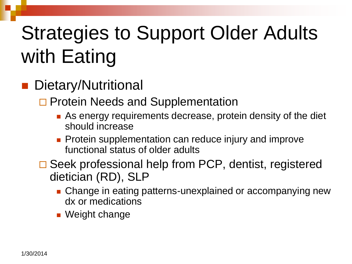#### Dietary/Nutritional

□ Protein Needs and Supplementation

- **As energy requirements decrease, protein density of the diet** should increase
- **Protein supplementation can reduce injury and improve** functional status of older adults
- □ Seek professional help from PCP, dentist, registered dietician (RD), SLP
	- **Change in eating patterns-unexplained or accompanying new** dx or medications
	- **Neight change**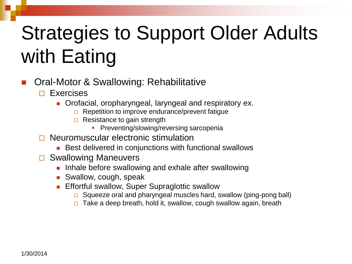- Oral-Motor & Swallowing: Rehabilitative
	- $\Box$  Exercises
		- **Orofacial, oropharyngeal, laryngeal and respiratory ex.** 
			- $\Box$  Repetition to improve endurance/prevent fatique
			- $\Box$  Resistance to gain strength
				- **Preventing/slowing/reversing sarcopenia**
	- Neuromuscular electronic stimulation
		- Best delivered in conjunctions with functional swallows
	- **□ Swallowing Maneuvers** 
		- **Inhale before swallowing and exhale after swallowing**
		- **Swallow, cough, speak**
		- Effortful swallow, Super Supraglottic swallow
			- $\Box$  Squeeze oral and pharyngeal muscles hard, swallow (ping-pong ball)
			- $\Box$  Take a deep breath, hold it, swallow, cough swallow again, breath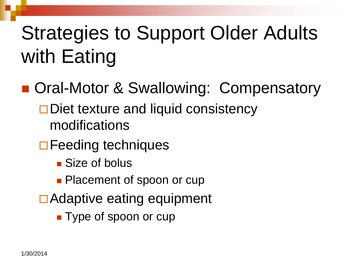- Oral-Motor & Swallowing: Compensatory
	- $\Box$  Diet texture and liquid consistency modifications
	- □ Feeding techniques
		- Size of bolus
		- **Placement of spoon or cup**
	- **□Adaptive eating equipment** 
		- **Type of spoon or cup**